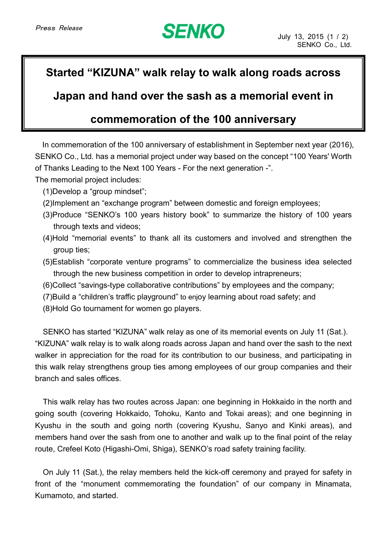## **SENKO**

## **Started "KIZUNA" walk relay to walk along roads across**

**Japan and hand over the sash as a memorial event in**

## **commemoration of the 100 anniversary**

In commemoration of the 100 anniversary of establishment in September next year (2016), SENKO Co., Ltd. has a memorial project under way based on the concept "100 Years' Worth of Thanks Leading to the Next 100 Years - For the next generation -".

The memorial project includes:

- (1)Develop a "group mindset";
- (2)Implement an "exchange program" between domestic and foreign employees;
- (3)Produce "SENKO's 100 years history book" to summarize the history of 100 years through texts and videos;
- (4)Hold "memorial events" to thank all its customers and involved and strengthen the group ties;
- (5)Establish "corporate venture programs" to commercialize the business idea selected through the new business competition in order to develop intrapreneurs;
- (6)Collect "savings-type collaborative contributions" by employees and the company;
- (7)Build a "children's traffic playground" to enjoy learning about road safety; and
- (8)Hold Go tournament for women go players.

SENKO has started "KIZUNA" walk relay as one of its memorial events on July 11 (Sat.). "KIZUNA" walk relay is to walk along roads across Japan and hand over the sash to the next walker in appreciation for the road for its contribution to our business, and participating in this walk relay strengthens group ties among employees of our group companies and their branch and sales offices.

This walk relay has two routes across Japan: one beginning in Hokkaido in the north and going south (covering Hokkaido, Tohoku, Kanto and Tokai areas); and one beginning in Kyushu in the south and going north (covering Kyushu, Sanyo and Kinki areas), and members hand over the sash from one to another and walk up to the final point of the relay route, Crefeel Koto (Higashi-Omi, Shiga), SENKO's road safety training facility.

On July 11 (Sat.), the relay members held the kick-off ceremony and prayed for safety in front of the "monument commemorating the foundation" of our company in Minamata, Kumamoto, and started.